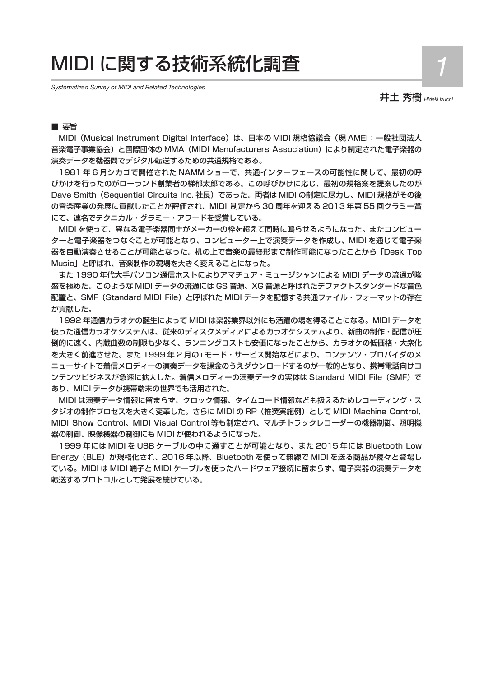# MIDI に関する技術系統化調査 *1*

*Systematized Survey of MIDI and Related Technologies*

井土 秀樹 *Hideki Izuchi* 

### ■要旨

MIDI(Musical Instrument Digital Interface)は、日本の MIDI 規格協議会(現 AMEI:一般社団法人 音楽電子事業協会)と国際団体の MMA (MIDI Manufacturers Association) により制定された電子楽器の 演奏データを機器間でデジタル転送するための共通規格である。

1981 年 6 月シカゴで開催された NAMM ショーで、共通インターフェースの可能性に関して、最初の呼 びかけを行ったのがローランド創業者の梯郁太郎である。この呼びかけに応じ、最初の規格案を提案したのが Dave Smith(Sequential Circuits Inc. 社長)であった。両者は MIDI の制定に尽力し、MIDI 規格がその後 の音楽産業の発展に貢献したことが評価され、MIDI 制定から 30 周年を迎える 2013 年第 55 回グラミー賞 にて、連名でテクニカル・グラミー・アワードを受賞している。

MIDI を使って、異なる電子楽器同士がメーカーの枠を超えて同時に鳴らせるようになった。またコンピュー ターと電子楽器をつなぐことが可能となり、コンピューター上で演奏データを作成し、MIDI を通じて電子楽 器を自動演奏させることが可能となった。机の上で音楽の最終形まで制作可能になったことから「Desk Top Music」と呼ばれ、音楽制作の現場を大きく変えることになった。

また 1990 年代大手パソコン通信ホストによりアマチュア・ミュージシャンによる MIDI データの流通が隆 盛を極めた。このような MIDI データの流通には GS 音源、XG 音源と呼ばれたデファクトスタンダードな音色 配置と、SMF(Standard MIDI File)と呼ばれた MIDI データを記憶する共通ファイル・フォーマットの存在 が貢献した。

1992 年通信カラオケの誕生によって MIDI は楽器業界以外にも活躍の場を得ることになる。MIDI データを 使った通信カラオケシステムは、従来のディスクメディアによるカラオケシステムより、新曲の制作・配信が圧 倒的に速く、内蔵曲数の制限も少なく、ランニングコストも安価になったことから、カラオケの低価格・大衆化 を大きく前進させた。また 1999 年 2 月の i モード・サービス開始などにより、コンテンツ・プロバイダのメ ニューサイトで着信メロディーの演奏データを課金のうえダウンロードするのが一般的となり、携帯電話向けコ ンテンツビジネスが急速に拡大した。着信メロディーの演奏データの実体は Standard MIDI File(SMF)で あり、MIDI データが携帯端末の世界でも活用された。

MIDI は演奏データ情報に留まらず、クロック情報、タイムコード情報なども扱えるためレコーディング・ス タジオの制作プロセスを大きく変革した。さらに MIDI の RP(推奨実施例)として MIDI Machine Control、 MIDI Show Control、MIDI Visual Control 等も制定され、マルチトラックレコーダーの機器制御、照明機 器の制御、映像機器の制御にも MIDI が使われるようになった。

1999 年には MIDI を USB ケーブルの中に通すことが可能となり、また 2015 年には Bluetooth Low Energy(BLE)が規格化され、2016 年以降、Bluetooth を使って無線で MIDI を送る商品が続々と登場し ている。MIDI は MIDI 端子と MIDI ケーブルを使ったハードウェア接続に留まらず、電子楽器の演奏データを 転送するプロトコルとして発展を続けている。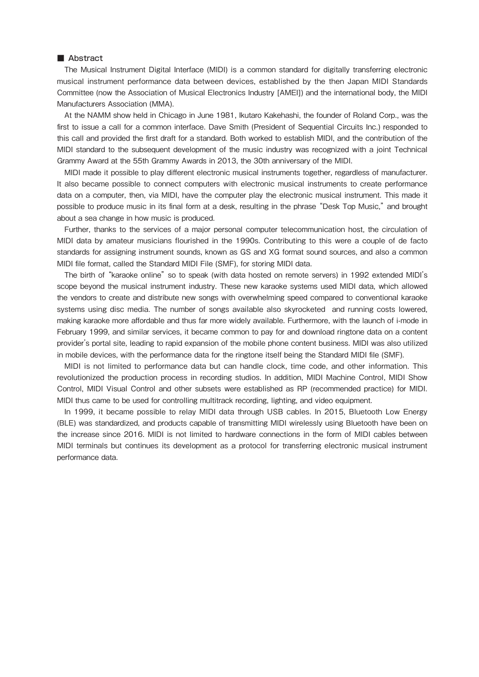#### ■ Abstract

The Musical Instrument Digital Interface (MIDI) is a common standard for digitally transferring electronic musical instrument performance data between devices, established by the then Japan MIDI Standards Committee (now the Association of Musical Electronics Industry [AMEI]) and the international body, the MIDI Manufacturers Association (MMA).

At the NAMM show held in Chicago in June 1981, Ikutaro Kakehashi, the founder of Roland Corp., was the first to issue a call for a common interface. Dave Smith (President of Sequential Circuits Inc.) responded to this call and provided the first draft for a standard. Both worked to establish MIDI, and the contribution of the MIDI standard to the subsequent development of the music industry was recognized with a joint Technical Grammy Award at the 55th Grammy Awards in 2013, the 30th anniversary of the MIDI.

MIDI made it possible to play different electronic musical instruments together, regardless of manufacturer. It also became possible to connect computers with electronic musical instruments to create performance data on a computer, then, via MIDI, have the computer play the electronic musical instrument. This made it possible to produce music in its final form at a desk, resulting in the phrase "Desk Top Music," and brought about a sea change in how music is produced.

Further, thanks to the services of a major personal computer telecommunication host, the circulation of MIDI data by amateur musicians flourished in the 1990s. Contributing to this were a couple of de facto standards for assigning instrument sounds, known as GS and XG format sound sources, and also a common MIDI file format, called the Standard MIDI File (SMF), for storing MIDI data.

The birth of "karaoke online" so to speak (with data hosted on remote servers) in 1992 extended MIDI's scope beyond the musical instrument industry. These new karaoke systems used MIDI data, which allowed the vendors to create and distribute new songs with overwhelming speed compared to conventional karaoke systems using disc media. The number of songs available also skyrocketed and running costs lowered, making karaoke more affordable and thus far more widely available. Furthermore, with the launch of i-mode in February 1999, and similar services, it became common to pay for and download ringtone data on a content provider's portal site, leading to rapid expansion of the mobile phone content business. MIDI was also utilized in mobile devices, with the performance data for the ringtone itself being the Standard MIDI file (SMF).

MIDI is not limited to performance data but can handle clock, time code, and other information. This revolutionized the production process in recording studios. In addition, MIDI Machine Control, MIDI Show Control, MIDI Visual Control and other subsets were established as RP (recommended practice) for MIDI. MIDI thus came to be used for controlling multitrack recording, lighting, and video equipment.

In 1999, it became possible to relay MIDI data through USB cables. In 2015, Bluetooth Low Energy (BLE) was standardized, and products capable of transmitting MIDI wirelessly using Bluetooth have been on the increase since 2016. MIDI is not limited to hardware connections in the form of MIDI cables between MIDI terminals but continues its development as a protocol for transferring electronic musical instrument performance data.